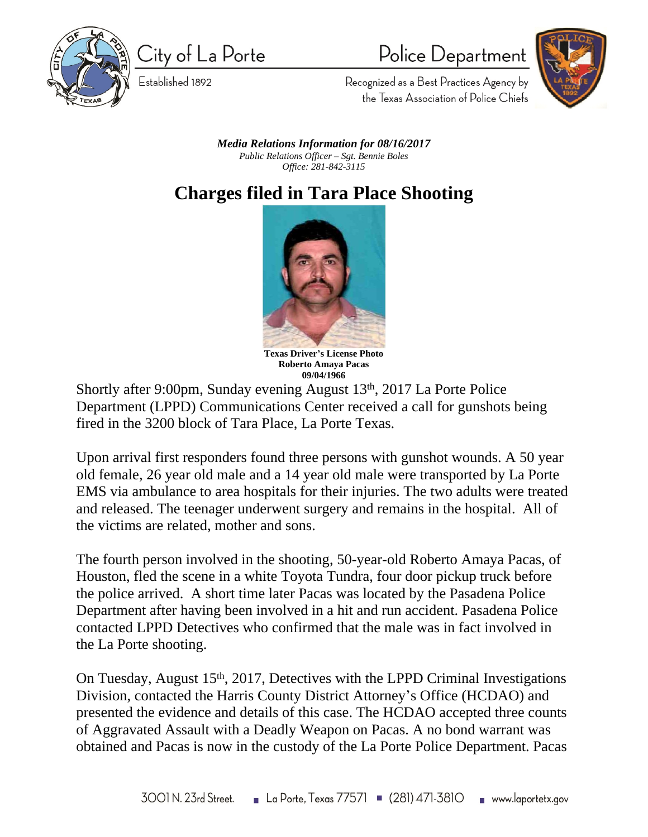

City of La Porte

Established 1892

Police Department



Recognized as a Best Practices Agency by the Texas Association of Police Chiefs

*Media Relations Information for 08/16/2017 Public Relations Officer – Sgt. Bennie Boles Office: 281-842-3115*

**Charges filed in Tara Place Shooting**



**Roberto Amaya Pacas 09/04/1966**

Shortly after 9:00pm, Sunday evening August 13th, 2017 La Porte Police Department (LPPD) Communications Center received a call for gunshots being fired in the 3200 block of Tara Place, La Porte Texas.

Upon arrival first responders found three persons with gunshot wounds. A 50 year old female, 26 year old male and a 14 year old male were transported by La Porte EMS via ambulance to area hospitals for their injuries. The two adults were treated and released. The teenager underwent surgery and remains in the hospital. All of the victims are related, mother and sons.

The fourth person involved in the shooting, 50-year-old Roberto Amaya Pacas, of Houston, fled the scene in a white Toyota Tundra, four door pickup truck before the police arrived. A short time later Pacas was located by the Pasadena Police Department after having been involved in a hit and run accident. Pasadena Police contacted LPPD Detectives who confirmed that the male was in fact involved in the La Porte shooting.

On Tuesday, August 15th, 2017, Detectives with the LPPD Criminal Investigations Division, contacted the Harris County District Attorney's Office (HCDAO) and presented the evidence and details of this case. The HCDAO accepted three counts of Aggravated Assault with a Deadly Weapon on Pacas. A no bond warrant was obtained and Pacas is now in the custody of the La Porte Police Department. Pacas